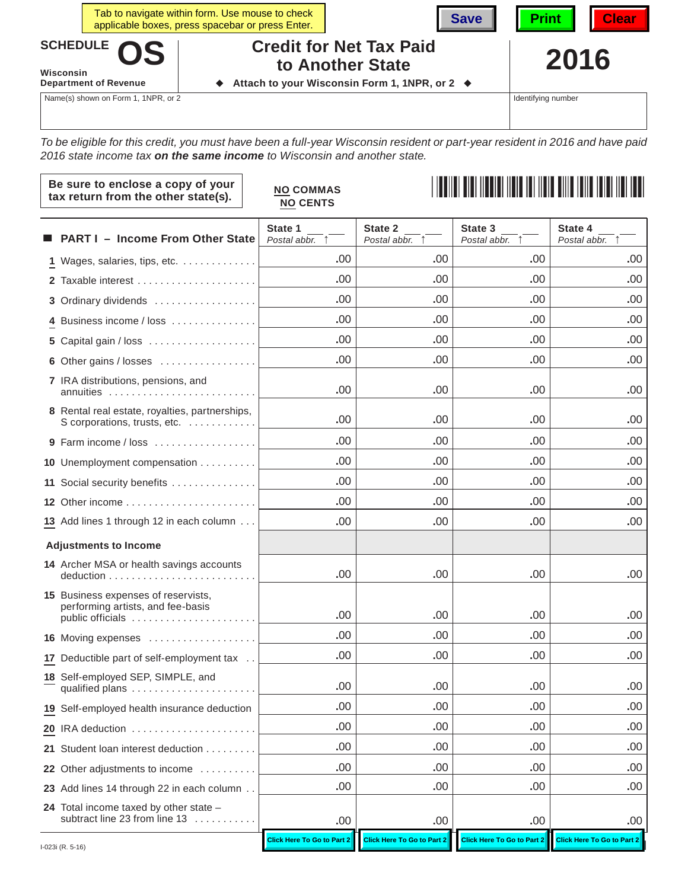|                          |                              | Tab to navigate within form. Use mouse to check<br>applicable boxes, press spacebar or press Enter. |                                               | Save | $\blacksquare$ Print $\blacksquare$ | <b>Clear</b> |
|--------------------------|------------------------------|-----------------------------------------------------------------------------------------------------|-----------------------------------------------|------|-------------------------------------|--------------|
| SCHEDULE OS<br>Wisconsin |                              | <b>Credit for Net Tax Paid</b><br>to Another State                                                  |                                               | 2016 |                                     |              |
|                          | <b>Department of Revenue</b> |                                                                                                     | Attach to your Wisconsin Form 1, 1NPR, or 2 ♦ |      |                                     |              |

Name(s) shown on Form 1, 1NPR, or 2

 $\Gamma$ 

Identifying number

*To be eligible for this credit, you must have been a full-year Wisconsin resident or part-year resident in 2016 and have paid 2016 state income tax on the same income to Wisconsin and another state.*

|                  | Be sure to enclose a copy of your<br>tax return from the other state(s).                     | <b>NO COMMAS</b><br><b>NO CENTS</b> |                            |                                   |                            |
|------------------|----------------------------------------------------------------------------------------------|-------------------------------------|----------------------------|-----------------------------------|----------------------------|
|                  | <b>PART I - Income From Other State</b>                                                      | State 1<br>Postal abbr. 1           | State 2<br>Postal abbr. 1  | State 3<br>Postal abbr.           | State 4<br>Postal abbr. 1  |
|                  | 1 Wages, salaries, tips, etc.                                                                | .00                                 | .00                        | .00.                              | .00                        |
|                  |                                                                                              | .00                                 | .00                        | .00.                              | .00                        |
|                  | 3 Ordinary dividends                                                                         | .00                                 | .00                        | .00.                              | .00                        |
|                  | 4 Business income / loss                                                                     | .00                                 | .00                        | .00                               | .00                        |
|                  |                                                                                              | .00                                 | .00                        | .00                               | .00.                       |
|                  | 6 Other gains / losses                                                                       | .00                                 | .00.                       | .00.                              | .00                        |
|                  | 7 IRA distributions, pensions, and<br>annuities                                              | .00                                 | .00                        | .00                               | .00                        |
|                  | 8 Rental real estate, royalties, partnerships,<br>S corporations, trusts, etc.               | .00                                 | .00.                       | .00.                              | .00                        |
|                  | 9 Farm income / loss                                                                         | .00                                 | .00.                       | .00                               | .00                        |
|                  | 10 Unemployment compensation                                                                 | .00                                 | .00.                       | .00                               | .00                        |
|                  | 11 Social security benefits                                                                  | .00                                 | .00                        | .00.                              | .00                        |
|                  |                                                                                              | .00                                 | .00.                       | .00                               | .00.                       |
|                  | 13 Add lines 1 through 12 in each column                                                     | .00                                 | .00.                       | .00.                              | .00                        |
|                  | <b>Adjustments to Income</b>                                                                 |                                     |                            |                                   |                            |
|                  | 14 Archer MSA or health savings accounts                                                     | .00                                 | .00                        | .00                               | .00                        |
|                  | 15 Business expenses of reservists,<br>performing artists, and fee-basis<br>public officials | .00                                 | .00.                       | .00.                              | .00                        |
|                  | 16 Moving expenses                                                                           | .00                                 | .00                        | .00                               | .00                        |
|                  | 17 Deductible part of self-employment tax                                                    | .00                                 | .00.                       | .00.                              | .00                        |
|                  | 18 Self-employed SEP, SIMPLE, and<br>qualified plans                                         | .00                                 | .00                        | .00                               | .00                        |
|                  | 19 Self-employed health insurance deduction                                                  | .00                                 | .00                        | .00                               | .00                        |
|                  | 20 IRA deduction                                                                             | .00                                 | .00                        | .00                               | .00                        |
|                  | 21 Student loan interest deduction                                                           | .00                                 | .00                        | .00                               | .00                        |
|                  | 22 Other adjustments to income                                                               | .00                                 | .00                        | .00                               | .00                        |
|                  | 23 Add lines 14 through 22 in each column                                                    | .00                                 | .00                        | .00                               | .00                        |
|                  | 24 Total income taxed by other state -<br>subtract line 23 from line 13                      | .00                                 | .00                        | .00                               | .00                        |
| I-023i (R. 5-16) |                                                                                              | <b>Click Here To Go to Part 2</b>   | Click Here To Go to Part 2 | <b>Click Here To Go to Part 2</b> | Click Here To Go to Part 2 |